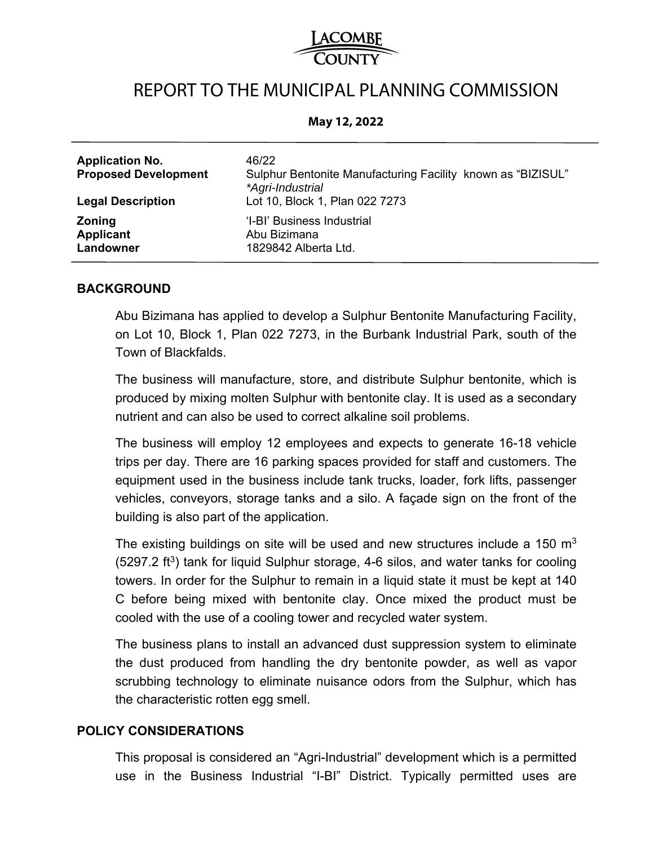# REPORT TO THE MUNICIPAL PLANNING COMMISSION

#### **May 12, 2022**

| <b>Application No.</b><br><b>Proposed Development</b><br><b>Legal Description</b> | 46/22<br>Sulphur Bentonite Manufacturing Facility known as "BIZISUL"<br>*Agri-Industrial<br>Lot 10, Block 1, Plan 022 7273 |
|-----------------------------------------------------------------------------------|----------------------------------------------------------------------------------------------------------------------------|
| <b>Zoning</b>                                                                     | 'I-BI' Business Industrial                                                                                                 |
| Applicant                                                                         | Abu Bizimana                                                                                                               |
| Landowner                                                                         | 1829842 Alberta Ltd.                                                                                                       |

### **BACKGROUND**

Abu Bizimana has applied to develop a Sulphur Bentonite Manufacturing Facility, on Lot 10, Block 1, Plan 022 7273, in the Burbank Industrial Park, south of the Town of Blackfalds.

The business will manufacture, store, and distribute Sulphur bentonite, which is produced by mixing molten Sulphur with bentonite clay. It is used as a secondary nutrient and can also be used to correct alkaline soil problems.

The business will employ 12 employees and expects to generate 16-18 vehicle trips per day. There are 16 parking spaces provided for staff and customers. The equipment used in the business include tank trucks, loader, fork lifts, passenger vehicles, conveyors, storage tanks and a silo. A façade sign on the front of the building is also part of the application.

The existing buildings on site will be used and new structures include a 150  $m<sup>3</sup>$  $(5297.2 \text{ ft}^3)$  tank for liquid Sulphur storage, 4-6 silos, and water tanks for cooling towers. In order for the Sulphur to remain in a liquid state it must be kept at 140 C before being mixed with bentonite clay. Once mixed the product must be cooled with the use of a cooling tower and recycled water system.

The business plans to install an advanced dust suppression system to eliminate the dust produced from handling the dry bentonite powder, as well as vapor scrubbing technology to eliminate nuisance odors from the Sulphur, which has the characteristic rotten egg smell.

### **POLICY CONSIDERATIONS**

This proposal is considered an "Agri-Industrial" development which is a permitted use in the Business Industrial "I-BI" District. Typically permitted uses are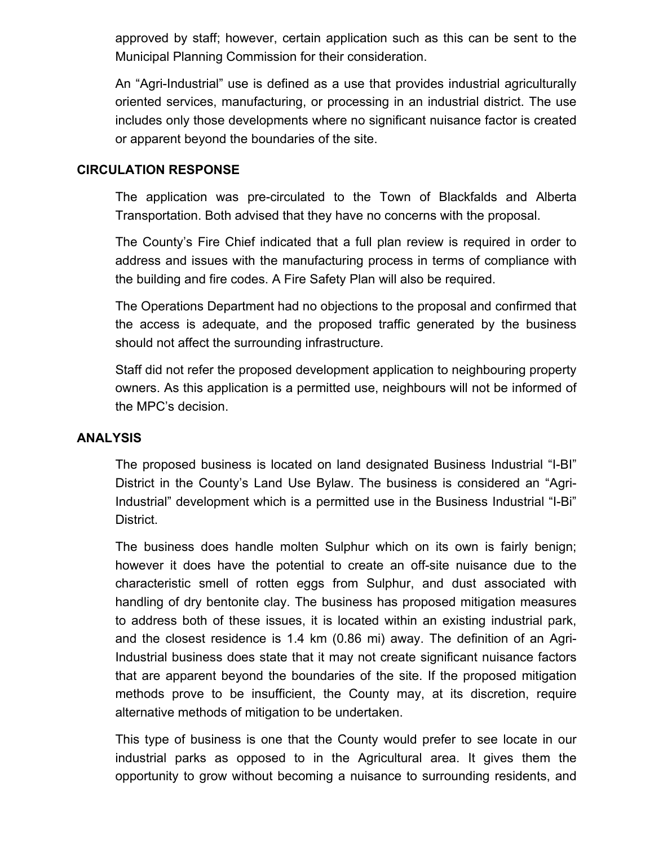approved by staff; however, certain application such as this can be sent to the Municipal Planning Commission for their consideration.

An "Agri-Industrial" use is defined as a use that provides industrial agriculturally oriented services, manufacturing, or processing in an industrial district. The use includes only those developments where no significant nuisance factor is created or apparent beyond the boundaries of the site.

# **CIRCULATION RESPONSE**

The application was pre-circulated to the Town of Blackfalds and Alberta Transportation. Both advised that they have no concerns with the proposal.

The County's Fire Chief indicated that a full plan review is required in order to address and issues with the manufacturing process in terms of compliance with the building and fire codes. A Fire Safety Plan will also be required.

The Operations Department had no objections to the proposal and confirmed that the access is adequate, and the proposed traffic generated by the business should not affect the surrounding infrastructure.

Staff did not refer the proposed development application to neighbouring property owners. As this application is a permitted use, neighbours will not be informed of the MPC's decision.

## **ANALYSIS**

The proposed business is located on land designated Business Industrial "I-BI" District in the County's Land Use Bylaw. The business is considered an "Agri-Industrial" development which is a permitted use in the Business Industrial "I-Bi" District.

The business does handle molten Sulphur which on its own is fairly benign; however it does have the potential to create an off-site nuisance due to the characteristic smell of rotten eggs from Sulphur, and dust associated with handling of dry bentonite clay. The business has proposed mitigation measures to address both of these issues, it is located within an existing industrial park, and the closest residence is 1.4 km (0.86 mi) away. The definition of an Agri-Industrial business does state that it may not create significant nuisance factors that are apparent beyond the boundaries of the site. If the proposed mitigation methods prove to be insufficient, the County may, at its discretion, require alternative methods of mitigation to be undertaken.

This type of business is one that the County would prefer to see locate in our industrial parks as opposed to in the Agricultural area. It gives them the opportunity to grow without becoming a nuisance to surrounding residents, and